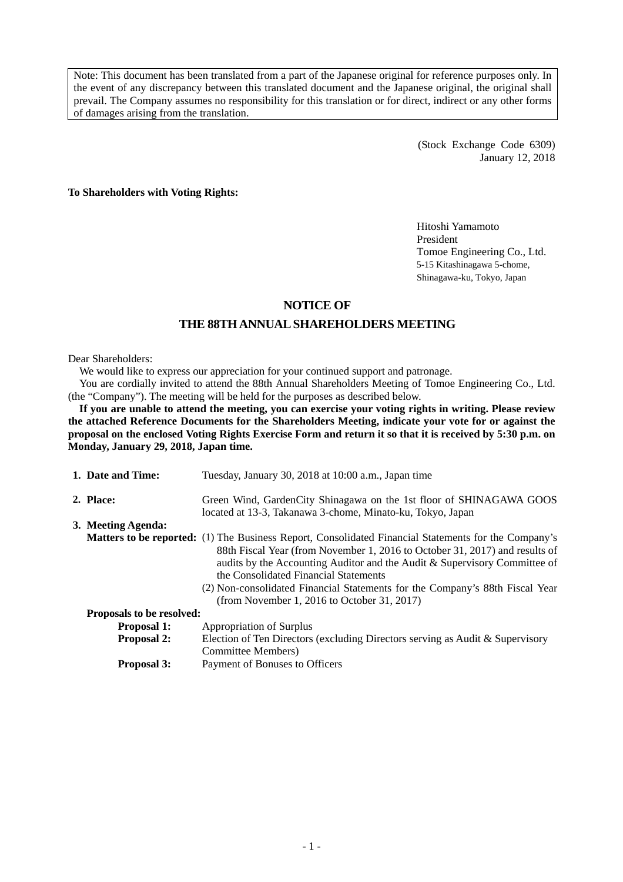Note: This document has been translated from a part of the Japanese original for reference purposes only. In the event of any discrepancy between this translated document and the Japanese original, the original shall prevail. The Company assumes no responsibility for this translation or for direct, indirect or any other forms of damages arising from the translation.

> (Stock Exchange Code 6309) January 12, 2018

**To Shareholders with Voting Rights:** 

Hitoshi Yamamoto President Tomoe Engineering Co., Ltd. 5-15 Kitashinagawa 5-chome, Shinagawa-ku, Tokyo, Japan

### **NOTICE OF**

### **THE 88TH ANNUAL SHAREHOLDERS MEETING**

#### Dear Shareholders:

We would like to express our appreciation for your continued support and patronage.

You are cordially invited to attend the 88th Annual Shareholders Meeting of Tomoe Engineering Co., Ltd. (the "Company"). The meeting will be held for the purposes as described below.

**If you are unable to attend the meeting, you can exercise your voting rights in writing. Please review the attached Reference Documents for the Shareholders Meeting, indicate your vote for or against the proposal on the enclosed Voting Rights Exercise Form and return it so that it is received by 5:30 p.m. on Monday, January 29, 2018, Japan time.** 

| 1. Date and Time:         | Tuesday, January 30, 2018 at 10:00 a.m., Japan time                                                                                                                                                                                                                                                                                                                                                                                             |
|---------------------------|-------------------------------------------------------------------------------------------------------------------------------------------------------------------------------------------------------------------------------------------------------------------------------------------------------------------------------------------------------------------------------------------------------------------------------------------------|
| 2. Place:                 | Green Wind, GardenCity Shinagawa on the 1st floor of SHINAGAWA GOOS<br>located at 13-3, Takanawa 3-chome, Minato-ku, Tokyo, Japan                                                                                                                                                                                                                                                                                                               |
| 3. Meeting Agenda:        |                                                                                                                                                                                                                                                                                                                                                                                                                                                 |
|                           | <b>Matters to be reported:</b> (1) The Business Report, Consolidated Financial Statements for the Company's<br>88th Fiscal Year (from November 1, 2016 to October 31, 2017) and results of<br>audits by the Accounting Auditor and the Audit & Supervisory Committee of<br>the Consolidated Financial Statements<br>(2) Non-consolidated Financial Statements for the Company's 88th Fiscal Year<br>(from November 1, 2016 to October 31, 2017) |
| Proposals to be resolved: |                                                                                                                                                                                                                                                                                                                                                                                                                                                 |
| <b>Proposal 1:</b>        | Appropriation of Surplus                                                                                                                                                                                                                                                                                                                                                                                                                        |
| <b>Proposal 2:</b>        | Election of Ten Directors (excluding Directors serving as Audit & Supervisory<br><b>Committee Members)</b>                                                                                                                                                                                                                                                                                                                                      |
| <b>Proposal 3:</b>        | Payment of Bonuses to Officers                                                                                                                                                                                                                                                                                                                                                                                                                  |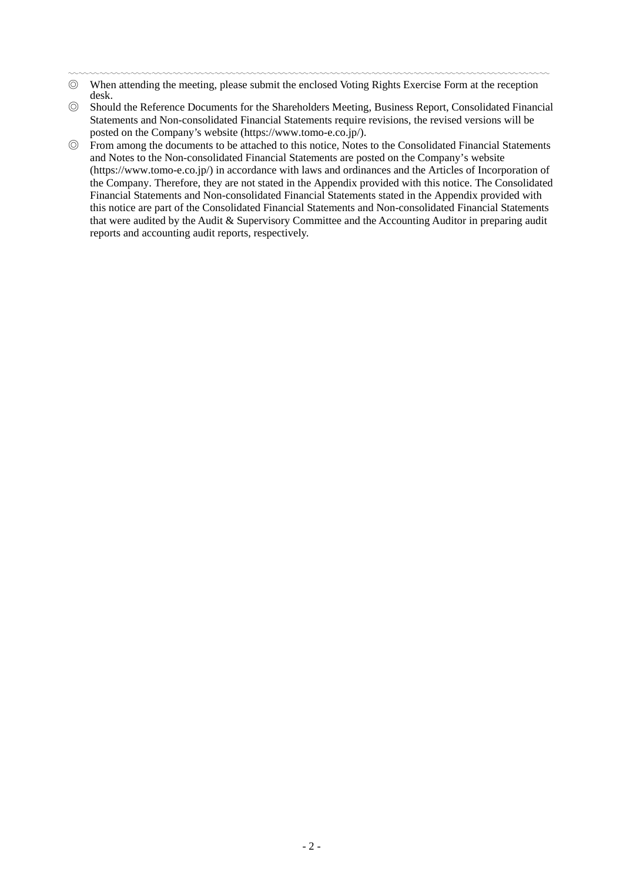- ◎ When attending the meeting, please submit the enclosed Voting Rights Exercise Form at the reception desk.
- ◎ Should the Reference Documents for the Shareholders Meeting, Business Report, Consolidated Financial Statements and Non-consolidated Financial Statements require revisions, the revised versions will be posted on the Company's website (https://www.tomo-e.co.jp/).
- ◎ From among the documents to be attached to this notice, Notes to the Consolidated Financial Statements and Notes to the Non-consolidated Financial Statements are posted on the Company's website (https://www.tomo-e.co.jp/) in accordance with laws and ordinances and the Articles of Incorporation of the Company. Therefore, they are not stated in the Appendix provided with this notice. The Consolidated Financial Statements and Non-consolidated Financial Statements stated in the Appendix provided with this notice are part of the Consolidated Financial Statements and Non-consolidated Financial Statements that were audited by the Audit & Supervisory Committee and the Accounting Auditor in preparing audit reports and accounting audit reports, respectively.

<sup>〰〰〰〰〰〰〰〰〰〰〰〰〰〰〰〰〰〰〰〰〰〰〰〰〰〰〰〰〰〰〰〰〰〰〰〰〰〰〰〰〰〰〰〰〰〰</sup>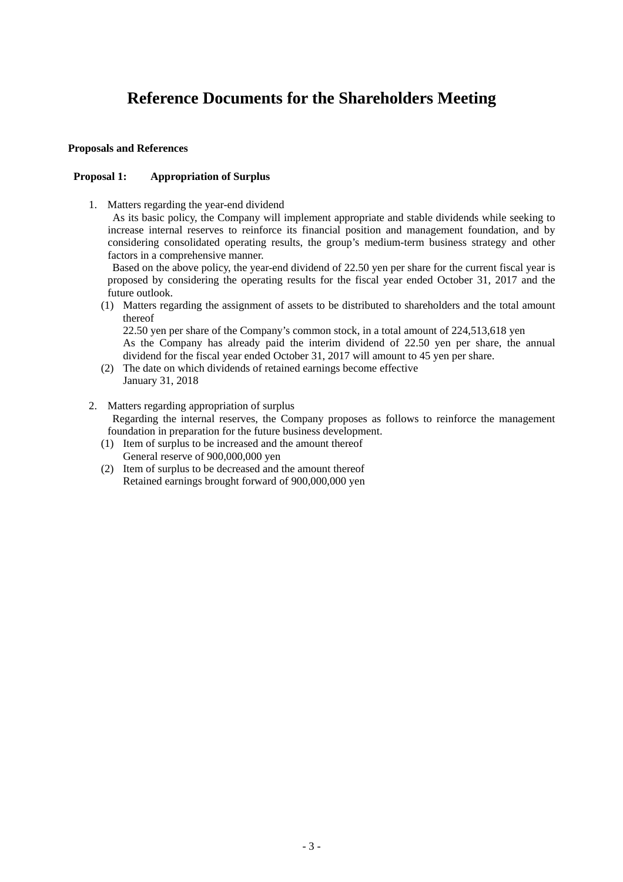# **Reference Documents for the Shareholders Meeting**

### **Proposals and References**

### **Proposal 1: Appropriation of Surplus**

1. Matters regarding the year-end dividend

As its basic policy, the Company will implement appropriate and stable dividends while seeking to increase internal reserves to reinforce its financial position and management foundation, and by considering consolidated operating results, the group's medium-term business strategy and other factors in a comprehensive manner.

Based on the above policy, the year-end dividend of 22.50 yen per share for the current fiscal year is proposed by considering the operating results for the fiscal year ended October 31, 2017 and the future outlook.

(1) Matters regarding the assignment of assets to be distributed to shareholders and the total amount thereof

22.50 yen per share of the Company's common stock, in a total amount of 224,513,618 yen

As the Company has already paid the interim dividend of 22.50 yen per share, the annual dividend for the fiscal year ended October 31, 2017 will amount to 45 yen per share.

- (2) The date on which dividends of retained earnings become effective January 31, 2018
- 2. Matters regarding appropriation of surplus Regarding the internal reserves, the Company proposes as follows to reinforce the management foundation in preparation for the future business development.
	- (1) Item of surplus to be increased and the amount thereof General reserve of 900,000,000 yen
	- (2) Item of surplus to be decreased and the amount thereof Retained earnings brought forward of 900,000,000 yen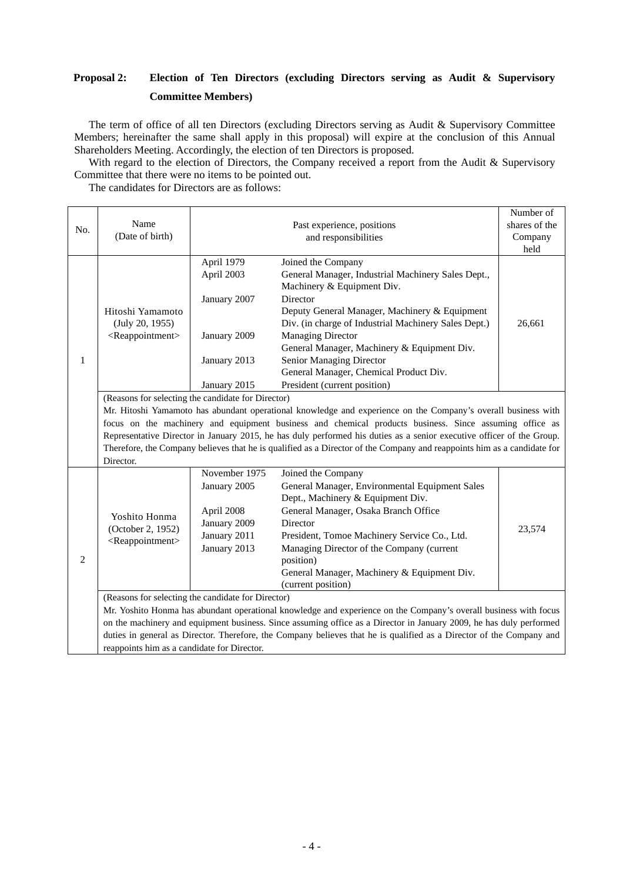## **Proposal 2: Election of Ten Directors (excluding Directors serving as Audit & Supervisory Committee Members)**

The term of office of all ten Directors (excluding Directors serving as Audit & Supervisory Committee Members; hereinafter the same shall apply in this proposal) will expire at the conclusion of this Annual Shareholders Meeting. Accordingly, the election of ten Directors is proposed.

With regard to the election of Directors, the Company received a report from the Audit & Supervisory Committee that there were no items to be pointed out.

The candidates for Directors are as follows:

|                |                                                                                                                         |                      |                                                                                                                                                                                                                                         | Number of     |  |
|----------------|-------------------------------------------------------------------------------------------------------------------------|----------------------|-----------------------------------------------------------------------------------------------------------------------------------------------------------------------------------------------------------------------------------------|---------------|--|
| No.            | Name                                                                                                                    |                      | Past experience, positions                                                                                                                                                                                                              | shares of the |  |
|                | (Date of birth)                                                                                                         | and responsibilities |                                                                                                                                                                                                                                         | Company       |  |
|                |                                                                                                                         |                      |                                                                                                                                                                                                                                         | held          |  |
|                |                                                                                                                         | April 1979           | Joined the Company                                                                                                                                                                                                                      |               |  |
|                |                                                                                                                         | April 2003           | General Manager, Industrial Machinery Sales Dept.,                                                                                                                                                                                      |               |  |
|                |                                                                                                                         |                      | Machinery & Equipment Div.                                                                                                                                                                                                              |               |  |
|                |                                                                                                                         | January 2007         | Director                                                                                                                                                                                                                                |               |  |
|                | Hitoshi Yamamoto                                                                                                        |                      | Deputy General Manager, Machinery & Equipment                                                                                                                                                                                           |               |  |
|                | (July 20, 1955)                                                                                                         |                      | Div. (in charge of Industrial Machinery Sales Dept.)                                                                                                                                                                                    | 26,661        |  |
|                | <reappointment></reappointment>                                                                                         | January 2009         | <b>Managing Director</b>                                                                                                                                                                                                                |               |  |
|                |                                                                                                                         |                      | General Manager, Machinery & Equipment Div.                                                                                                                                                                                             |               |  |
| 1              |                                                                                                                         | January 2013         | Senior Managing Director                                                                                                                                                                                                                |               |  |
|                |                                                                                                                         |                      | General Manager, Chemical Product Div.                                                                                                                                                                                                  |               |  |
|                |                                                                                                                         | January 2015         | President (current position)                                                                                                                                                                                                            |               |  |
|                | (Reasons for selecting the candidate for Director)                                                                      |                      |                                                                                                                                                                                                                                         |               |  |
|                | Mr. Hitoshi Yamamoto has abundant operational knowledge and experience on the Company's overall business with           |                      |                                                                                                                                                                                                                                         |               |  |
|                | focus on the machinery and equipment business and chemical products business. Since assuming office as                  |                      |                                                                                                                                                                                                                                         |               |  |
|                | Representative Director in January 2015, he has duly performed his duties as a senior executive officer of the Group.   |                      |                                                                                                                                                                                                                                         |               |  |
|                | Therefore, the Company believes that he is qualified as a Director of the Company and reappoints him as a candidate for |                      |                                                                                                                                                                                                                                         |               |  |
|                | Director.                                                                                                               |                      |                                                                                                                                                                                                                                         |               |  |
|                |                                                                                                                         | November 1975        | Joined the Company                                                                                                                                                                                                                      |               |  |
|                |                                                                                                                         | January 2005         | General Manager, Environmental Equipment Sales                                                                                                                                                                                          |               |  |
|                |                                                                                                                         |                      | Dept., Machinery & Equipment Div.                                                                                                                                                                                                       |               |  |
|                |                                                                                                                         | April 2008           | General Manager, Osaka Branch Office                                                                                                                                                                                                    |               |  |
|                | Yoshito Honma<br>(October 2, 1952)                                                                                      | January 2009         | Director                                                                                                                                                                                                                                |               |  |
|                |                                                                                                                         |                      |                                                                                                                                                                                                                                         | 23,574        |  |
|                |                                                                                                                         |                      |                                                                                                                                                                                                                                         |               |  |
|                | <reappointment></reappointment>                                                                                         | January 2011         | President, Tomoe Machinery Service Co., Ltd.                                                                                                                                                                                            |               |  |
| $\overline{c}$ |                                                                                                                         | January 2013         | Managing Director of the Company (current                                                                                                                                                                                               |               |  |
|                |                                                                                                                         |                      | position)                                                                                                                                                                                                                               |               |  |
|                |                                                                                                                         |                      | General Manager, Machinery & Equipment Div.<br>(current position)                                                                                                                                                                       |               |  |
|                |                                                                                                                         |                      |                                                                                                                                                                                                                                         |               |  |
|                | (Reasons for selecting the candidate for Director)                                                                      |                      |                                                                                                                                                                                                                                         |               |  |
|                |                                                                                                                         |                      | Mr. Yoshito Honma has abundant operational knowledge and experience on the Company's overall business with focus<br>on the machinery and equipment business. Since assuming office as a Director in January 2009, he has duly performed |               |  |
|                |                                                                                                                         |                      | duties in general as Director. Therefore, the Company believes that he is qualified as a Director of the Company and                                                                                                                    |               |  |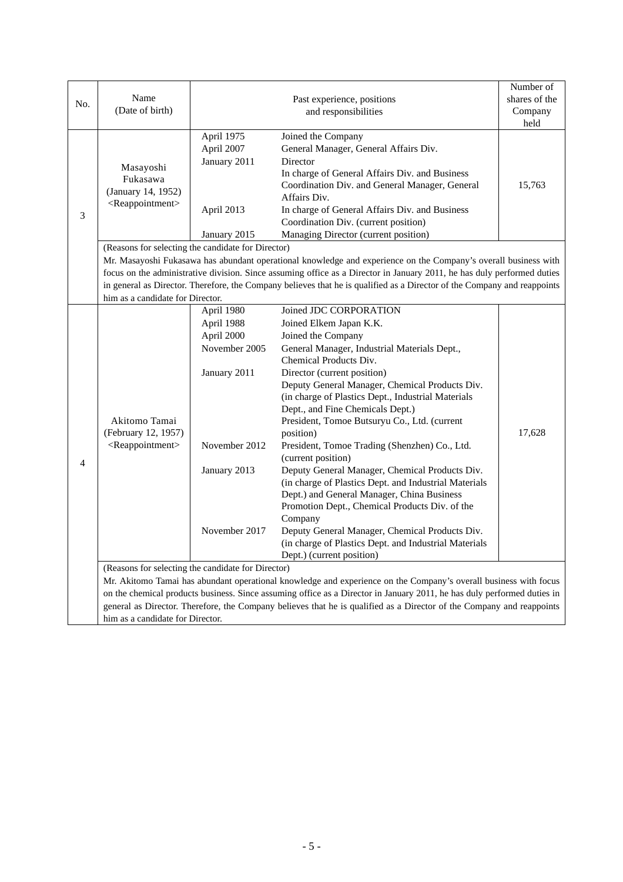|                                                                                                                                                                                                                                                  |                                                                                                                  |               |                                                                                                                          | Number of     |
|--------------------------------------------------------------------------------------------------------------------------------------------------------------------------------------------------------------------------------------------------|------------------------------------------------------------------------------------------------------------------|---------------|--------------------------------------------------------------------------------------------------------------------------|---------------|
| No.                                                                                                                                                                                                                                              | Name                                                                                                             |               | Past experience, positions                                                                                               | shares of the |
|                                                                                                                                                                                                                                                  | (Date of birth)                                                                                                  |               | and responsibilities                                                                                                     | Company       |
|                                                                                                                                                                                                                                                  |                                                                                                                  |               |                                                                                                                          | held          |
|                                                                                                                                                                                                                                                  |                                                                                                                  | April 1975    | Joined the Company                                                                                                       |               |
|                                                                                                                                                                                                                                                  |                                                                                                                  | April 2007    | General Manager, General Affairs Div.                                                                                    |               |
|                                                                                                                                                                                                                                                  |                                                                                                                  | January 2011  | Director                                                                                                                 |               |
|                                                                                                                                                                                                                                                  | Masayoshi                                                                                                        |               | In charge of General Affairs Div. and Business                                                                           |               |
|                                                                                                                                                                                                                                                  | Fukasawa<br>(January 14, 1952)<br><reappointment></reappointment>                                                |               | Coordination Div. and General Manager, General                                                                           | 15,763        |
|                                                                                                                                                                                                                                                  |                                                                                                                  |               | Affairs Div.                                                                                                             |               |
| 3                                                                                                                                                                                                                                                |                                                                                                                  | April 2013    | In charge of General Affairs Div. and Business                                                                           |               |
|                                                                                                                                                                                                                                                  |                                                                                                                  |               | Coordination Div. (current position)                                                                                     |               |
|                                                                                                                                                                                                                                                  |                                                                                                                  | January 2015  | Managing Director (current position)                                                                                     |               |
|                                                                                                                                                                                                                                                  | (Reasons for selecting the candidate for Director)                                                               |               |                                                                                                                          |               |
|                                                                                                                                                                                                                                                  |                                                                                                                  |               | Mr. Masayoshi Fukasawa has abundant operational knowledge and experience on the Company's overall business with          |               |
|                                                                                                                                                                                                                                                  |                                                                                                                  |               | focus on the administrative division. Since assuming office as a Director in January 2011, he has duly performed duties  |               |
|                                                                                                                                                                                                                                                  |                                                                                                                  |               | in general as Director. Therefore, the Company believes that he is qualified as a Director of the Company and reappoints |               |
|                                                                                                                                                                                                                                                  | him as a candidate for Director.                                                                                 |               |                                                                                                                          |               |
|                                                                                                                                                                                                                                                  |                                                                                                                  | April 1980    | Joined JDC CORPORATION                                                                                                   |               |
|                                                                                                                                                                                                                                                  |                                                                                                                  | April 1988    | Joined Elkem Japan K.K.                                                                                                  |               |
|                                                                                                                                                                                                                                                  |                                                                                                                  | April 2000    | Joined the Company                                                                                                       |               |
|                                                                                                                                                                                                                                                  |                                                                                                                  | November 2005 | General Manager, Industrial Materials Dept.,                                                                             |               |
|                                                                                                                                                                                                                                                  |                                                                                                                  |               | Chemical Products Div.                                                                                                   |               |
|                                                                                                                                                                                                                                                  |                                                                                                                  | January 2011  | Director (current position)                                                                                              |               |
|                                                                                                                                                                                                                                                  |                                                                                                                  |               | Deputy General Manager, Chemical Products Div.                                                                           |               |
|                                                                                                                                                                                                                                                  |                                                                                                                  |               | (in charge of Plastics Dept., Industrial Materials                                                                       |               |
|                                                                                                                                                                                                                                                  |                                                                                                                  |               | Dept., and Fine Chemicals Dept.)                                                                                         |               |
|                                                                                                                                                                                                                                                  | Akitomo Tamai                                                                                                    |               | President, Tomoe Butsuryu Co., Ltd. (current                                                                             |               |
|                                                                                                                                                                                                                                                  | (February 12, 1957)<br><reappointment></reappointment>                                                           |               | position)                                                                                                                | 17,628        |
|                                                                                                                                                                                                                                                  |                                                                                                                  | November 2012 | President, Tomoe Trading (Shenzhen) Co., Ltd.                                                                            |               |
| $\overline{4}$                                                                                                                                                                                                                                   |                                                                                                                  |               | (current position)                                                                                                       |               |
|                                                                                                                                                                                                                                                  |                                                                                                                  | January 2013  | Deputy General Manager, Chemical Products Div.                                                                           |               |
|                                                                                                                                                                                                                                                  |                                                                                                                  |               | (in charge of Plastics Dept. and Industrial Materials                                                                    |               |
|                                                                                                                                                                                                                                                  |                                                                                                                  |               | Dept.) and General Manager, China Business                                                                               |               |
|                                                                                                                                                                                                                                                  |                                                                                                                  |               | Promotion Dept., Chemical Products Div. of the                                                                           |               |
|                                                                                                                                                                                                                                                  |                                                                                                                  |               | Company                                                                                                                  |               |
|                                                                                                                                                                                                                                                  |                                                                                                                  | November 2017 | Deputy General Manager, Chemical Products Div.                                                                           |               |
|                                                                                                                                                                                                                                                  |                                                                                                                  |               | (in charge of Plastics Dept. and Industrial Materials                                                                    |               |
|                                                                                                                                                                                                                                                  |                                                                                                                  |               | Dept.) (current position)                                                                                                |               |
|                                                                                                                                                                                                                                                  | (Reasons for selecting the candidate for Director)                                                               |               |                                                                                                                          |               |
|                                                                                                                                                                                                                                                  | Mr. Akitomo Tamai has abundant operational knowledge and experience on the Company's overall business with focus |               |                                                                                                                          |               |
| on the chemical products business. Since assuming office as a Director in January 2011, he has duly performed duties in<br>general as Director. Therefore, the Company believes that he is qualified as a Director of the Company and reappoints |                                                                                                                  |               |                                                                                                                          |               |
|                                                                                                                                                                                                                                                  |                                                                                                                  |               |                                                                                                                          |               |
|                                                                                                                                                                                                                                                  | him as a candidate for Director.                                                                                 |               |                                                                                                                          |               |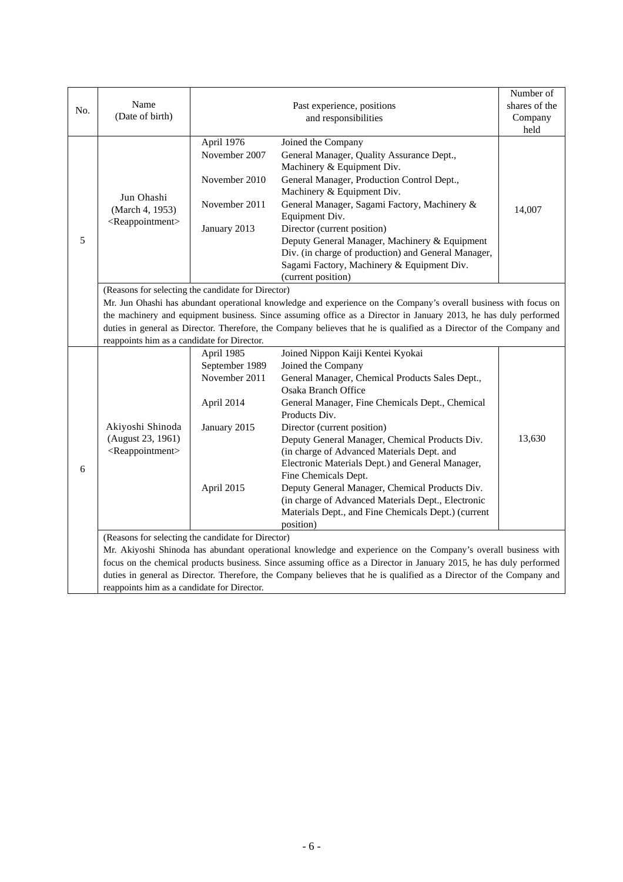|               |                                                                                                                                                                                                                                             |                                             |                                                                                                                  | Number of     |  |  |
|---------------|---------------------------------------------------------------------------------------------------------------------------------------------------------------------------------------------------------------------------------------------|---------------------------------------------|------------------------------------------------------------------------------------------------------------------|---------------|--|--|
| No.           | Name                                                                                                                                                                                                                                        |                                             | Past experience, positions                                                                                       | shares of the |  |  |
|               | (Date of birth)                                                                                                                                                                                                                             |                                             | and responsibilities                                                                                             | Company       |  |  |
|               |                                                                                                                                                                                                                                             |                                             |                                                                                                                  | held          |  |  |
|               | Jun Ohashi<br>(March 4, 1953)                                                                                                                                                                                                               | April 1976                                  | Joined the Company                                                                                               |               |  |  |
|               |                                                                                                                                                                                                                                             | November 2007                               | General Manager, Quality Assurance Dept.,                                                                        |               |  |  |
|               |                                                                                                                                                                                                                                             |                                             | Machinery & Equipment Div.                                                                                       |               |  |  |
|               |                                                                                                                                                                                                                                             | November 2010                               | General Manager, Production Control Dept.,                                                                       |               |  |  |
|               |                                                                                                                                                                                                                                             |                                             | Machinery & Equipment Div.                                                                                       |               |  |  |
|               |                                                                                                                                                                                                                                             | November 2011                               | General Manager, Sagami Factory, Machinery &                                                                     | 14,007        |  |  |
|               | <reappointment></reappointment>                                                                                                                                                                                                             |                                             | Equipment Div.                                                                                                   |               |  |  |
|               |                                                                                                                                                                                                                                             | January 2013                                | Director (current position)                                                                                      |               |  |  |
| $\mathfrak s$ |                                                                                                                                                                                                                                             |                                             | Deputy General Manager, Machinery & Equipment                                                                    |               |  |  |
|               |                                                                                                                                                                                                                                             |                                             | Div. (in charge of production) and General Manager,                                                              |               |  |  |
|               |                                                                                                                                                                                                                                             |                                             | Sagami Factory, Machinery & Equipment Div.                                                                       |               |  |  |
|               |                                                                                                                                                                                                                                             |                                             | (current position)                                                                                               |               |  |  |
|               | (Reasons for selecting the candidate for Director)                                                                                                                                                                                          |                                             |                                                                                                                  |               |  |  |
|               |                                                                                                                                                                                                                                             |                                             | Mr. Jun Ohashi has abundant operational knowledge and experience on the Company's overall business with focus on |               |  |  |
|               | the machinery and equipment business. Since assuming office as a Director in January 2013, he has duly performed                                                                                                                            |                                             |                                                                                                                  |               |  |  |
|               | duties in general as Director. Therefore, the Company believes that he is qualified as a Director of the Company and                                                                                                                        |                                             |                                                                                                                  |               |  |  |
|               | reappoints him as a candidate for Director.                                                                                                                                                                                                 |                                             |                                                                                                                  |               |  |  |
|               |                                                                                                                                                                                                                                             | April 1985                                  | Joined Nippon Kaiji Kentei Kyokai                                                                                |               |  |  |
|               |                                                                                                                                                                                                                                             | September 1989                              | Joined the Company                                                                                               |               |  |  |
|               |                                                                                                                                                                                                                                             | November 2011                               | General Manager, Chemical Products Sales Dept.,                                                                  |               |  |  |
|               |                                                                                                                                                                                                                                             |                                             | Osaka Branch Office                                                                                              |               |  |  |
|               |                                                                                                                                                                                                                                             | April 2014                                  | General Manager, Fine Chemicals Dept., Chemical                                                                  |               |  |  |
|               |                                                                                                                                                                                                                                             |                                             | Products Div.                                                                                                    |               |  |  |
|               | Akiyoshi Shinoda                                                                                                                                                                                                                            | January 2015                                | Director (current position)                                                                                      |               |  |  |
|               | (August 23, 1961)                                                                                                                                                                                                                           |                                             | Deputy General Manager, Chemical Products Div.                                                                   | 13,630        |  |  |
|               | <reappointment></reappointment>                                                                                                                                                                                                             |                                             | (in charge of Advanced Materials Dept. and                                                                       |               |  |  |
| 6             |                                                                                                                                                                                                                                             |                                             | Electronic Materials Dept.) and General Manager,                                                                 |               |  |  |
|               |                                                                                                                                                                                                                                             |                                             | Fine Chemicals Dept.                                                                                             |               |  |  |
|               |                                                                                                                                                                                                                                             | April 2015                                  | Deputy General Manager, Chemical Products Div.                                                                   |               |  |  |
|               |                                                                                                                                                                                                                                             |                                             | (in charge of Advanced Materials Dept., Electronic                                                               |               |  |  |
|               |                                                                                                                                                                                                                                             |                                             | Materials Dept., and Fine Chemicals Dept.) (current                                                              |               |  |  |
|               | position)                                                                                                                                                                                                                                   |                                             |                                                                                                                  |               |  |  |
|               | (Reasons for selecting the candidate for Director)                                                                                                                                                                                          |                                             |                                                                                                                  |               |  |  |
|               | Mr. Akiyoshi Shinoda has abundant operational knowledge and experience on the Company's overall business with                                                                                                                               |                                             |                                                                                                                  |               |  |  |
|               | focus on the chemical products business. Since assuming office as a Director in January 2015, he has duly performed<br>duties in general as Director. Therefore, the Company believes that he is qualified as a Director of the Company and |                                             |                                                                                                                  |               |  |  |
|               |                                                                                                                                                                                                                                             |                                             |                                                                                                                  |               |  |  |
|               |                                                                                                                                                                                                                                             | reappoints him as a candidate for Director. |                                                                                                                  |               |  |  |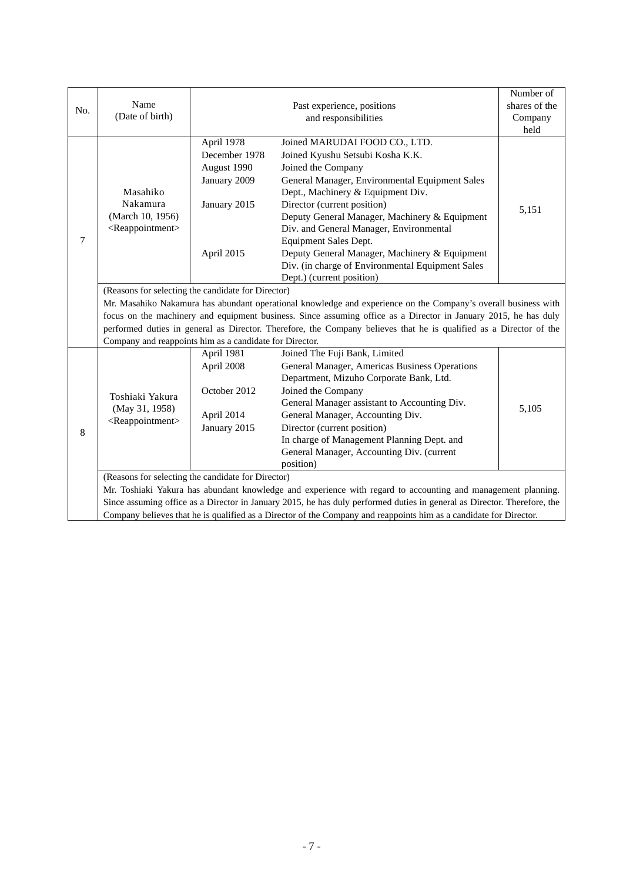|     | Name                                                                                                                                                                          | Past experience, positions |                                                  | Number of<br>shares of the |  |
|-----|-------------------------------------------------------------------------------------------------------------------------------------------------------------------------------|----------------------------|--------------------------------------------------|----------------------------|--|
| No. | (Date of birth)                                                                                                                                                               |                            |                                                  | Company                    |  |
|     |                                                                                                                                                                               |                            | and responsibilities                             | held                       |  |
|     |                                                                                                                                                                               | April 1978                 | Joined MARUDAI FOOD CO., LTD.                    |                            |  |
|     | Masahiko<br>Nakamura                                                                                                                                                          | December 1978              | Joined Kyushu Setsubi Kosha K.K.                 |                            |  |
|     |                                                                                                                                                                               | August 1990                | Joined the Company                               |                            |  |
|     |                                                                                                                                                                               | January 2009               | General Manager, Environmental Equipment Sales   |                            |  |
|     |                                                                                                                                                                               |                            | Dept., Machinery & Equipment Div.                |                            |  |
|     |                                                                                                                                                                               | January 2015               | Director (current position)                      |                            |  |
|     | (March 10, 1956)                                                                                                                                                              |                            | Deputy General Manager, Machinery & Equipment    | 5,151                      |  |
|     | <reappointment></reappointment>                                                                                                                                               |                            | Div. and General Manager, Environmental          |                            |  |
| 7   |                                                                                                                                                                               |                            | Equipment Sales Dept.                            |                            |  |
|     |                                                                                                                                                                               | April 2015                 | Deputy General Manager, Machinery & Equipment    |                            |  |
|     |                                                                                                                                                                               |                            | Div. (in charge of Environmental Equipment Sales |                            |  |
|     |                                                                                                                                                                               |                            | Dept.) (current position)                        |                            |  |
|     | (Reasons for selecting the candidate for Director)                                                                                                                            |                            |                                                  |                            |  |
|     | Mr. Masahiko Nakamura has abundant operational knowledge and experience on the Company's overall business with                                                                |                            |                                                  |                            |  |
|     | focus on the machinery and equipment business. Since assuming office as a Director in January 2015, he has duly                                                               |                            |                                                  |                            |  |
|     |                                                                                                                                                                               |                            |                                                  |                            |  |
|     | performed duties in general as Director. Therefore, the Company believes that he is qualified as a Director of the<br>Company and reappoints him as a candidate for Director. |                            |                                                  |                            |  |
|     |                                                                                                                                                                               | April 1981                 | Joined The Fuji Bank, Limited                    |                            |  |
|     | Toshiaki Yakura<br>(May 31, 1958)<br><reappointment></reappointment>                                                                                                          | April 2008                 | General Manager, Americas Business Operations    |                            |  |
|     |                                                                                                                                                                               |                            | Department, Mizuho Corporate Bank, Ltd.          |                            |  |
|     |                                                                                                                                                                               | October 2012               | Joined the Company                               |                            |  |
|     |                                                                                                                                                                               |                            | General Manager assistant to Accounting Div.     |                            |  |
|     |                                                                                                                                                                               | April 2014                 | General Manager, Accounting Div.                 | 5,105                      |  |
|     |                                                                                                                                                                               | January 2015               | Director (current position)                      |                            |  |
| 8   |                                                                                                                                                                               |                            | In charge of Management Planning Dept. and       |                            |  |
|     |                                                                                                                                                                               |                            | General Manager, Accounting Div. (current        |                            |  |
|     |                                                                                                                                                                               |                            | position)                                        |                            |  |
|     | (Reasons for selecting the candidate for Director)                                                                                                                            |                            |                                                  |                            |  |
|     | Mr. Toshiaki Yakura has abundant knowledge and experience with regard to accounting and management planning.                                                                  |                            |                                                  |                            |  |
|     | Since assuming office as a Director in January 2015, he has duly performed duties in general as Director. Therefore, the                                                      |                            |                                                  |                            |  |
|     | Company believes that he is qualified as a Director of the Company and reappoints him as a candidate for Director.                                                            |                            |                                                  |                            |  |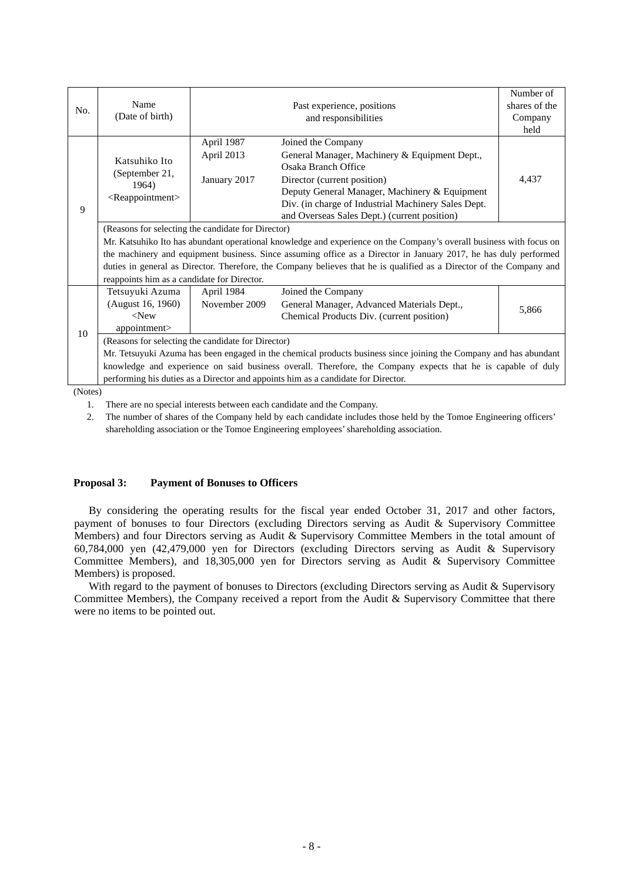|                |                                                                                                                      |               |                                                     | Number of     |  |
|----------------|----------------------------------------------------------------------------------------------------------------------|---------------|-----------------------------------------------------|---------------|--|
| No.            | Name                                                                                                                 |               | Past experience, positions                          | shares of the |  |
|                | (Date of birth)                                                                                                      |               | and responsibilities                                | Company       |  |
|                |                                                                                                                      |               |                                                     | held          |  |
|                | Katsuhiko Ito                                                                                                        | April 1987    | Joined the Company                                  |               |  |
|                |                                                                                                                      | April 2013    | General Manager, Machinery & Equipment Dept.,       |               |  |
|                |                                                                                                                      |               | Osaka Branch Office                                 |               |  |
|                | (September 21,<br>1964)                                                                                              | January 2017  | Director (current position)                         | 4,437         |  |
|                | <reappointment></reappointment>                                                                                      |               | Deputy General Manager, Machinery & Equipment       |               |  |
| 9              |                                                                                                                      |               | Div. (in charge of Industrial Machinery Sales Dept. |               |  |
|                |                                                                                                                      |               | and Overseas Sales Dept.) (current position)        |               |  |
|                | (Reasons for selecting the candidate for Director)                                                                   |               |                                                     |               |  |
|                | Mr. Katsuhiko Ito has abundant operational knowledge and experience on the Company's overall business with focus on  |               |                                                     |               |  |
|                | the machinery and equipment business. Since assuming office as a Director in January 2017, he has duly performed     |               |                                                     |               |  |
|                | duties in general as Director. Therefore, the Company believes that he is qualified as a Director of the Company and |               |                                                     |               |  |
|                | reappoints him as a candidate for Director.                                                                          |               |                                                     |               |  |
|                | Tetsuyuki Azuma                                                                                                      | April 1984    | Joined the Company                                  |               |  |
|                | (August 16, 1960)                                                                                                    | November 2009 | General Manager, Advanced Materials Dept.,          | 5,866         |  |
|                | $<$ New                                                                                                              |               | Chemical Products Div. (current position)           |               |  |
| 10             | appointment>                                                                                                         |               |                                                     |               |  |
|                | (Reasons for selecting the candidate for Director)                                                                   |               |                                                     |               |  |
|                | Mr. Tetsuyuki Azuma has been engaged in the chemical products business since joining the Company and has abundant    |               |                                                     |               |  |
|                | knowledge and experience on said business overall. Therefore, the Company expects that he is capable of duly         |               |                                                     |               |  |
|                | performing his duties as a Director and appoints him as a candidate for Director.                                    |               |                                                     |               |  |
| $(NT - t - x)$ |                                                                                                                      |               |                                                     |               |  |

(Notes)

1. There are no special interests between each candidate and the Company.

2. The number of shares of the Company held by each candidate includes those held by the Tomoe Engineering officers' shareholding association or the Tomoe Engineering employees' shareholding association.

### **Proposal 3: Payment of Bonuses to Officers**

By considering the operating results for the fiscal year ended October 31, 2017 and other factors, payment of bonuses to four Directors (excluding Directors serving as Audit & Supervisory Committee Members) and four Directors serving as Audit & Supervisory Committee Members in the total amount of 60,784,000 yen (42,479,000 yen for Directors (excluding Directors serving as Audit & Supervisory Committee Members), and 18,305,000 yen for Directors serving as Audit & Supervisory Committee Members) is proposed.

With regard to the payment of bonuses to Directors (excluding Directors serving as Audit & Supervisory Committee Members), the Company received a report from the Audit & Supervisory Committee that there were no items to be pointed out.